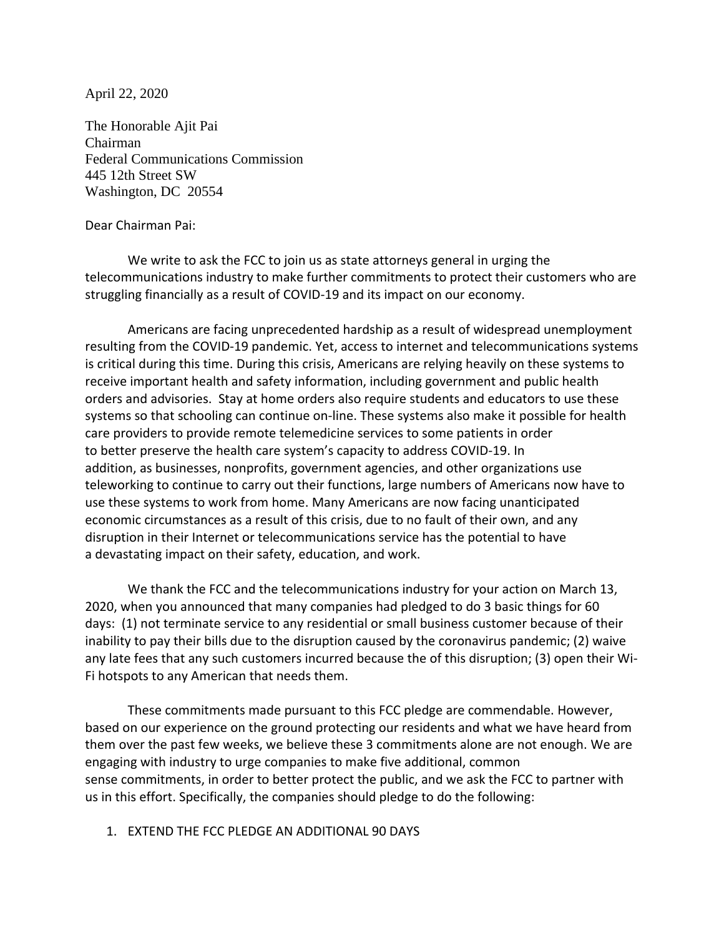April 22, 2020

The Honorable Ajit Pai Chairman Federal Communications Commission 445 12th Street SW Washington, DC 20554

#### Dear Chairman Pai:

We write to ask the FCC to join us as state attorneys general in urging the telecommunications industry to make further commitments to protect their customers who are struggling financially as a result of COVID-19 and its impact on our economy.

Americans are facing unprecedented hardship as a result of widespread unemployment resulting from the COVID-19 pandemic. Yet, access to internet and telecommunications systems is critical during this time. During this crisis, Americans are relying heavily on these systems to receive important health and safety information, including government and public health orders and advisories. Stay at home orders also require students and educators to use these systems so that schooling can continue on-line. These systems also make it possible for health care providers to provide remote telemedicine services to some patients in order to better preserve the health care system's capacity to address COVID-19. In addition, as businesses, nonprofits, government agencies, and other organizations use teleworking to continue to carry out their functions, large numbers of Americans now have to use these systems to work from home. Many Americans are now facing unanticipated economic circumstances as a result of this crisis, due to no fault of their own, and any disruption in their Internet or telecommunications service has the potential to have a devastating impact on their safety, education, and work.

We thank the FCC and the telecommunications industry for your action on March 13, 2020, when you announced that many companies had pledged to do 3 basic things for 60 days: (1) not terminate service to any residential or small business customer because of their inability to pay their bills due to the disruption caused by the coronavirus pandemic; (2) waive any late fees that any such customers incurred because the of this disruption; (3) open their Wi-Fi hotspots to any American that needs them.

These commitments made pursuant to this FCC pledge are commendable. However, based on our experience on the ground protecting our residents and what we have heard from them over the past few weeks, we believe these 3 commitments alone are not enough. We are engaging with industry to urge companies to make five additional, common sense commitments, in order to better protect the public, and we ask the FCC to partner with us in this effort. Specifically, the companies should pledge to do the following:

#### 1. EXTEND THE FCC PLEDGE AN ADDITIONAL 90 DAYS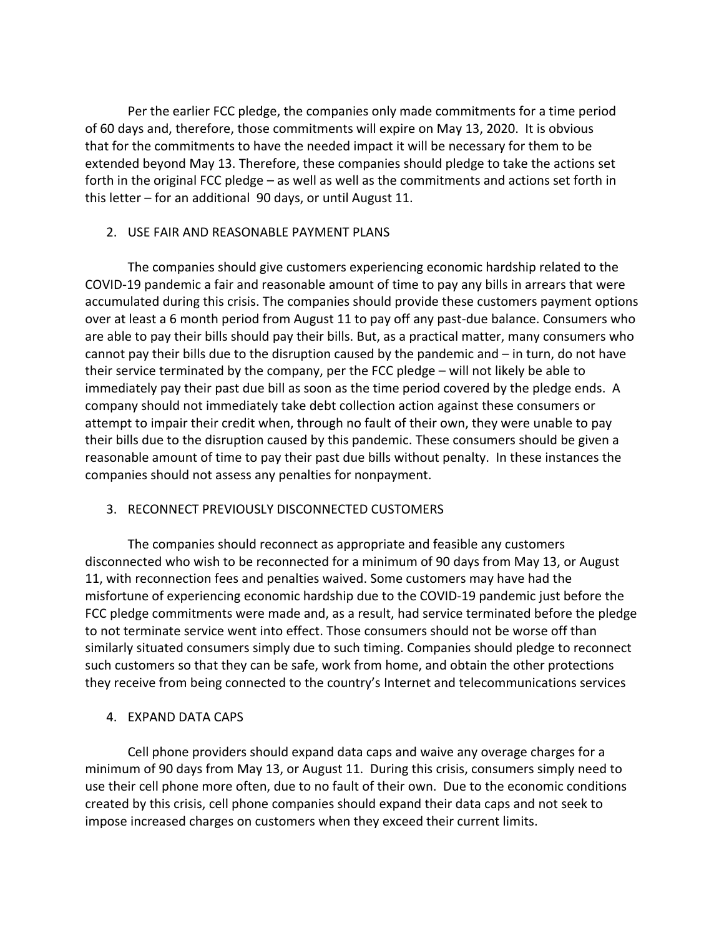Per the earlier FCC pledge, the companies only made commitments for a time period of 60 days and, therefore, those commitments will expire on May 13, 2020. It is obvious that for the commitments to have the needed impact it will be necessary for them to be extended beyond May 13. Therefore, these companies should pledge to take the actions set forth in the original FCC pledge – as well as well as the commitments and actions set forth in this letter – for an additional 90 days, or until August 11.

### 2. USE FAIR AND REASONABLE PAYMENT PLANS

The companies should give customers experiencing economic hardship related to the COVID-19 pandemic a fair and reasonable amount of time to pay any bills in arrears that were accumulated during this crisis. The companies should provide these customers payment options over at least a 6 month period from August 11 to pay off any past-due balance. Consumers who are able to pay their bills should pay their bills. But, as a practical matter, many consumers who cannot pay their bills due to the disruption caused by the pandemic and – in turn, do not have their service terminated by the company, per the FCC pledge – will not likely be able to immediately pay their past due bill as soon as the time period covered by the pledge ends. A company should not immediately take debt collection action against these consumers or attempt to impair their credit when, through no fault of their own, they were unable to pay their bills due to the disruption caused by this pandemic. These consumers should be given a reasonable amount of time to pay their past due bills without penalty. In these instances the companies should not assess any penalties for nonpayment.

## 3. RECONNECT PREVIOUSLY DISCONNECTED CUSTOMERS

The companies should reconnect as appropriate and feasible any customers disconnected who wish to be reconnected for a minimum of 90 days from May 13, or August 11, with reconnection fees and penalties waived. Some customers may have had the misfortune of experiencing economic hardship due to the COVID-19 pandemic just before the FCC pledge commitments were made and, as a result, had service terminated before the pledge to not terminate service went into effect. Those consumers should not be worse off than similarly situated consumers simply due to such timing. Companies should pledge to reconnect such customers so that they can be safe, work from home, and obtain the other protections they receive from being connected to the country's Internet and telecommunications services

## 4. EXPAND DATA CAPS

Cell phone providers should expand data caps and waive any overage charges for a minimum of 90 days from May 13, or August 11. During this crisis, consumers simply need to use their cell phone more often, due to no fault of their own. Due to the economic conditions created by this crisis, cell phone companies should expand their data caps and not seek to impose increased charges on customers when they exceed their current limits.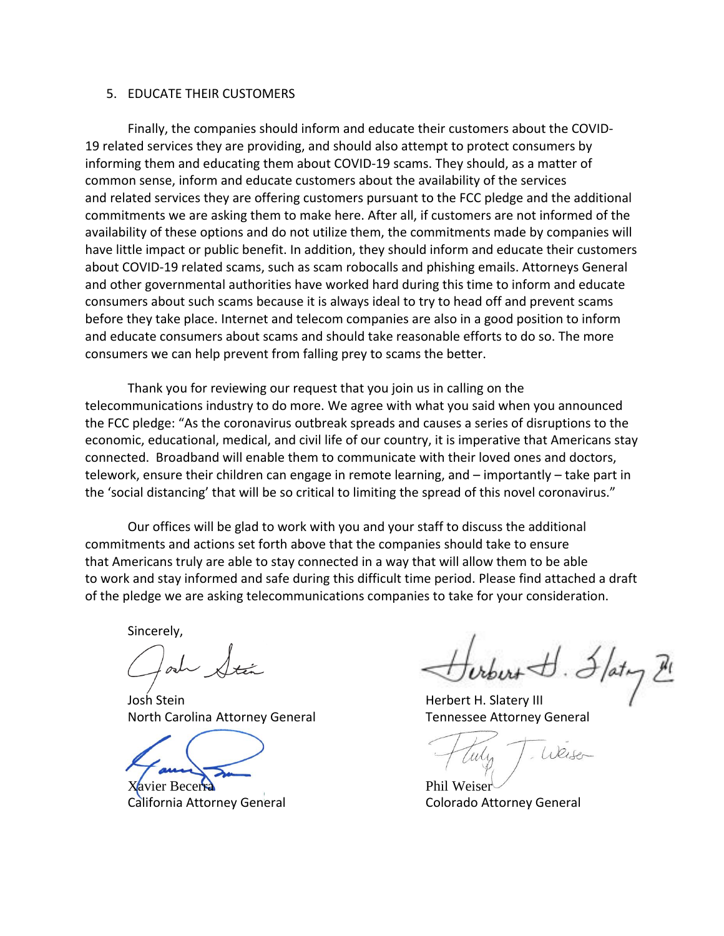#### 5. EDUCATE THEIR CUSTOMERS

Finally, the companies should inform and educate their customers about the COVID-19 related services they are providing, and should also attempt to protect consumers by informing them and educating them about COVID-19 scams. They should, as a matter of common sense, inform and educate customers about the availability of the services and related services they are offering customers pursuant to the FCC pledge and the additional commitments we are asking them to make here. After all, if customers are not informed of the availability of these options and do not utilize them, the commitments made by companies will have little impact or public benefit. In addition, they should inform and educate their customers about COVID-19 related scams, such as scam robocalls and phishing emails. Attorneys General and other governmental authorities have worked hard during this time to inform and educate consumers about such scams because it is always ideal to try to head off and prevent scams before they take place. Internet and telecom companies are also in a good position to inform and educate consumers about scams and should take reasonable efforts to do so. The more consumers we can help prevent from falling prey to scams the better.

Thank you for reviewing our request that you join us in calling on the telecommunications industry to do more. We agree with what you said when you announced the FCC pledge: "As the coronavirus outbreak spreads and causes a series of disruptions to the economic, educational, medical, and civil life of our country, it is imperative that Americans stay connected. Broadband will enable them to communicate with their loved ones and doctors, telework, ensure their children can engage in remote learning, and – importantly – take part in the 'social distancing' that will be so critical to limiting the spread of this novel coronavirus."

Our offices will be glad to work with you and your staff to discuss the additional commitments and actions set forth above that the companies should take to ensure that Americans truly are able to stay connected in a way that will allow them to be able to work and stay informed and safe during this difficult time period. Please find attached a draft of the pledge we are asking telecommunications companies to take for your consideration.

Sincerely,

Josh Stein **Herbert H. Slatery III** North Carolina Attorney General Tennessee Attorney General

Xavier Becerra **Phil Weiser** California Attorney General **Colorado Attorney General** 

Weiser Culi,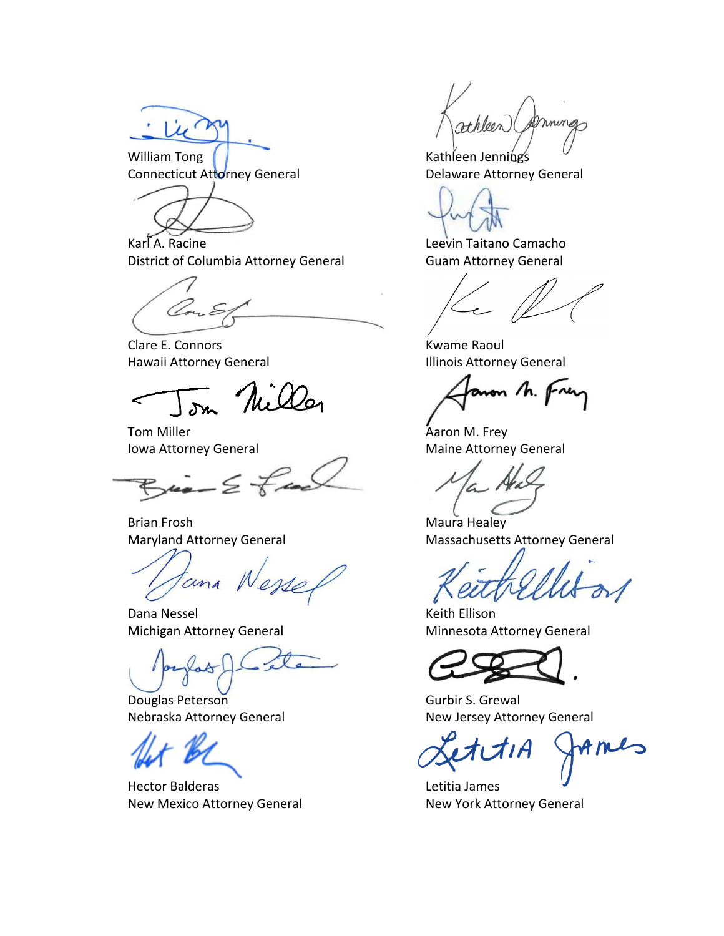William Tong (New York 1995) Muslim Muslim Kathleen Jennings Connecticut Attorney General **Exercise Settem** Delaware Attorney General

Karl A. Racine **Leevin Taitano Camacho** District of Columbia Attorney General Guam Attorney General

Clare E. Connors **Kwame Raoul** Hawaii Attorney General **Illinois Attorney General** 

Tom Nills

Tom Miller **Aaron M. Frey** 

 $Bia - 2$  free

Brian Frosh **Maura Healey** 

tana N

Dana Nessel **New York Contract Contract Contract Contract Contract Contract Contract Contract Contract Contract Contract Contract Contract Contract Contract Contract Contract Contract Contract Contract Contract Contract Co** 

Douglas Peterson **Gurbir S. Grewal** 

Hector Balderas **Letitia James** New Mexico Attorney General New York Attorney General

mings

aron h. Frey

Iowa Attorney General Maine Attorney General

Maryland Attorney General Massachusetts Attorney General

Michigan Attorney General Minnesota Attorney General

Nebraska Attorney General New Jersey Attorney General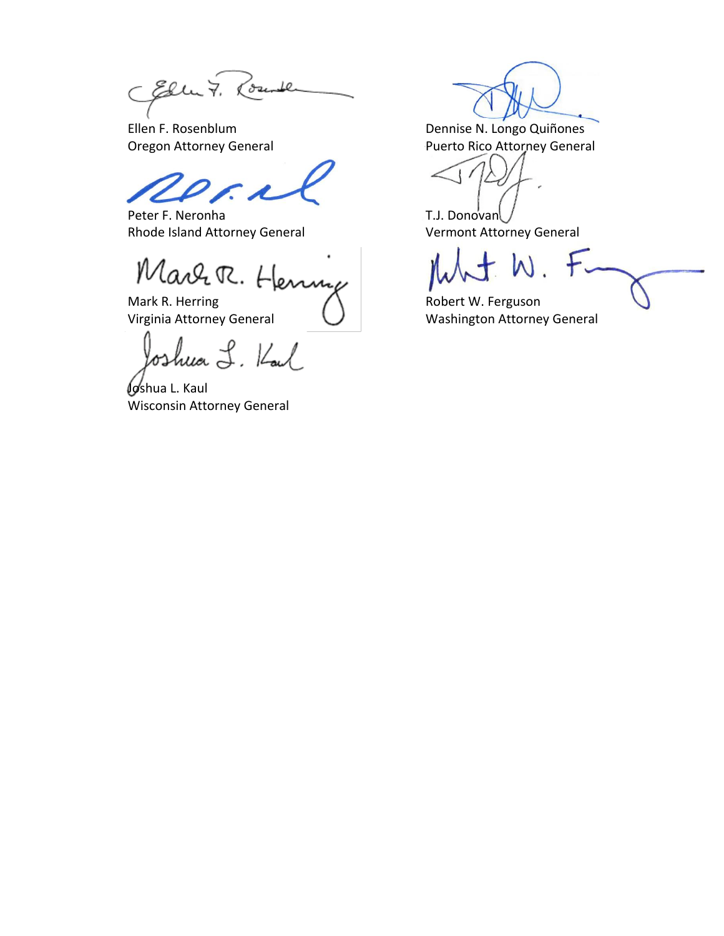CElle 7. Rounde

₽

Peter F. Neronha T.J. Donovan Rhode Island Attorney General Vermont Attorney General

Marr R. Henny

Mark R. Herring  $\bigwedge$  Robert W. Ferguson

oshua L. Kal

**Joshua L. Kaul** Wisconsin Attorney General

Ellen F. Rosenblum **Dennise N. Longo Quiñones**<br>
Oregon Attorney General **Dennise N. Longo Quiñones** Puerto Rico Attorney General

Virginia Attorney General  $\bigcup$  Washington Attorney General